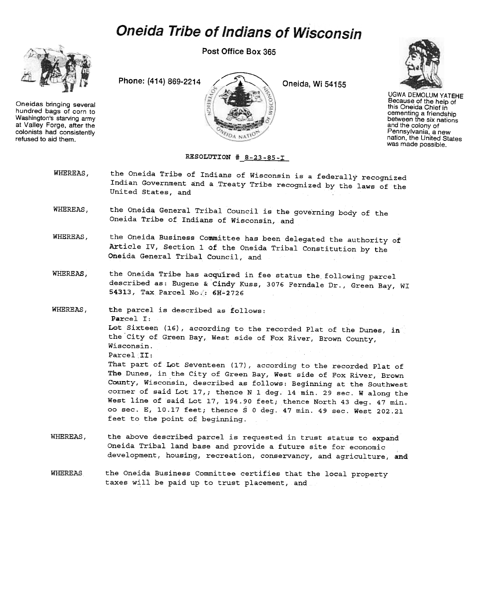## **Oneida Tribe of Indians of Wisconsin**



Oneidas bringing several hundred bags of corn to Washington's starving army at Valley Forge. after the colonists had consistently refused to aid them.

Post Office Box 365

Phone: (414) 869-2214

/ Oneida, Wi 54155



UGWA DEMOLUM YATEHE Because of the help of this Oneida Chief in cementing a friendship between the six nations and the colony of Pennsylvania, a new nation, the United States was made possible.

## RESOLUTION  $# 8-23-85-T$

- WHEREAS, the Oneida Tribe of Indians of Wisconsin is a federally recognized Indian Government and a Treaty Tribe recognized by the laws of the United States, and
- WHEREAS, the Oneida General Tribal Council is the governing body of the Oneida Tribe of Indians of Wisconsin, and

**KEIGT** 

- WHEREAS, the Oneida Business Committee has been delegated the authority of Article IV, Section 1 of the Oneida Tribal Constitution by the Oneida General Tribal Council, and
- WHEREAS, the Oneida Tribe has acquired in fee status the following parcel described as: Eugene & Cindy Kuss, 3076 Ferndale Dr., Green Bay, WI 54313, Tax Parcel No;: 6H-2726
- WHEREAS, the parcel is described as follows: Parcel I: Lot Sixteen (16), according to the recorded Plat of the Dunes, in the City of Green Bay, West side of Fox River, Brown County, Wisconsin. Parcel II: That part of Lot Seventeen (17), according to the recorded Plat of The Dunes, in the City of Green Bay, West side of Fox River, Brown . County, Wisconsin, described as follows: Beginning at the Southwest corner of said Lot l7,; thence N 1 deg. 14 min. 29 sec. W along the West line of said Lot 17, 194.90 feet; thence North 43 deg. 47 min. 00 sec. E, 10.17 feet; thence S 0 deg. 47 min. 49 sec. West 202.21 feet to the point of beginning.
- WHEREAS, the above described parcel is requested in trust status to expand Oneida Tribal land base and provide a future site for economic development, housing, recreation, conservancy, and agriculture, and
- WHEREAS the Oneida Business Committee certifies that the local property taxes will be paid up to trust placement, and